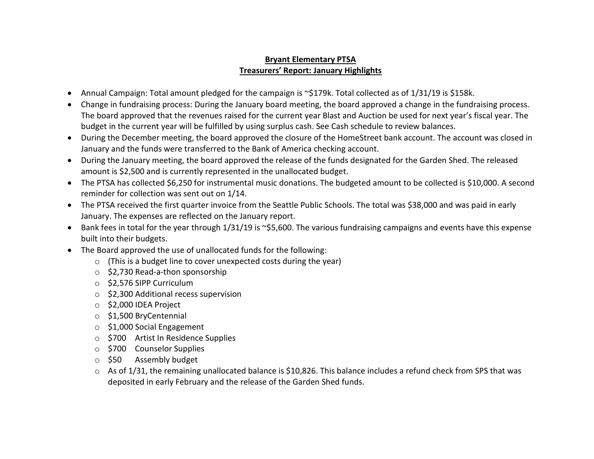## **Bryant Elementary PTSA Treasurers' Report: January Highlights**

- Annual Campaign: Total amount pledged for the campaign is ~\$179k. Total collected as of 1/31/19 is \$158k.
- Change in fundraising process: During the January board meeting, the board approved a change in the fundraising process. The board approved that the revenues raised for the current year Blast and Auction be used for next year's fiscal year. The budget in the current year will be fulfilled by using surplus cash. See Cash schedule to review balances.
- During the December meeting, the board approved the closure of the HomeStreet bank account. The account was closed in January and the funds were transferred to the Bank of America checking account.
- During the January meeting, the board approved the release of the funds designated for the Garden Shed. The released amount is \$2,500 and is currently represented in the unallocated budget.
- The PTSA has collected \$6,250 for instrumental music donations. The budgeted amount to be collected is \$10,000. A second reminder for collection was sent out on 1/14.
- The PTSA received the first quarter invoice from the Seattle Public Schools. The total was \$38,000 and was paid in early January. The expenses are reflected on the January report.
- Bank fees in total for the year through 1/31/19 is ~\$5,600. The various fundraising campaigns and events have this expense built into their budgets.
- The Board approved the use of unallocated funds for the following:
	- o (This is a budget line to cover unexpected costs during the year)
	- o \$2,730 Read-a-thon sponsorship
	- o \$2,576 SIPP Curriculum
	- o \$2,300 Additional recess supervision
	- o \$2,000 IDEA Project
	- o \$1,500 BryCentennial
	- o \$1,000 Social Engagement
	- o \$700 Artist In Residence Supplies
	- o \$700 Counselor Supplies
	- o \$50 Assembly budget
	- $\circ$  As of 1/31, the remaining unallocated balance is \$10,826. This balance includes a refund check from SPS that was deposited in early February and the release of the Garden Shed funds.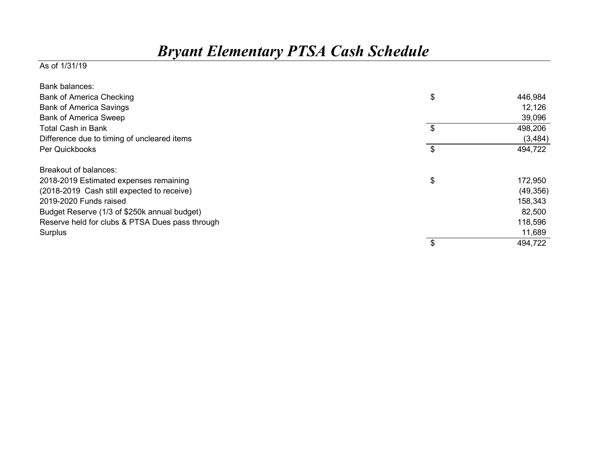## *Bryant Elementary PTSA Cash Schedule*

## As of 1/31/19

| <b>Bank balances:</b>                           |               |
|-------------------------------------------------|---------------|
| <b>Bank of America Checking</b>                 | \$<br>446,984 |
| <b>Bank of America Savings</b>                  | 12,126        |
| <b>Bank of America Sweep</b>                    | 39,096        |
| <b>Total Cash in Bank</b>                       | \$<br>498,206 |
| Difference due to timing of uncleared items     | (3,484)       |
| Per Quickbooks                                  | \$<br>494,722 |
| Breakout of balances:                           |               |
| 2018-2019 Estimated expenses remaining          | \$<br>172,950 |
| (2018-2019 Cash still expected to receive)      | (49, 356)     |
| 2019-2020 Funds raised                          | 158,343       |
| Budget Reserve (1/3 of \$250k annual budget)    | 82,500        |
| Reserve held for clubs & PTSA Dues pass through | 118,596       |
| Surplus                                         | 11,689        |
|                                                 | 494,722       |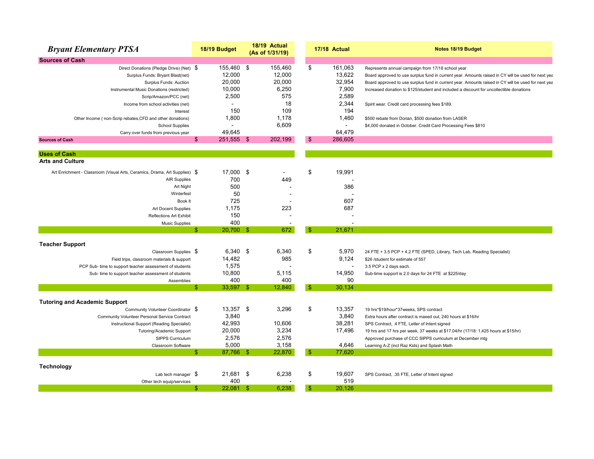| <b>Bryant Elementary PTSA</b>                                              | 18/19 Budget       | 18/19 Actual<br>(As of 1/31/19) |                        | 17/18 Actual | Notes 18/19 Budget                                                                                 |
|----------------------------------------------------------------------------|--------------------|---------------------------------|------------------------|--------------|----------------------------------------------------------------------------------------------------|
| <b>Sources of Cash</b>                                                     |                    |                                 |                        |              |                                                                                                    |
| Direct Donations (Pledge Drive) (Net) \$                                   | 155,460 \$         | 155,460                         | \$                     | 161,063      | Represents annual campaign from 17/18 school year                                                  |
| Surplus Funds: Bryant Blast(net)                                           | 12,000             | 12,000                          |                        | 13,622       | Board approved to use surplus fund in current year. Amounts raised in CY will be used for next yea |
| Surplus Funds: Auction                                                     | 20,000             | 20,000                          |                        | 32,954       | Board approved to use surplus fund in current year. Amounts raised in CY will be used for next yea |
| Instrumental Music Donations (restricted)                                  | 10,000             |                                 | 6,250                  | 7,900        | Increased donation to \$125/student and included a discount for uncollectible donations            |
| Scrip/Amazon/PCC (net)                                                     | 2,500              |                                 | 575                    | 2,589        |                                                                                                    |
| Income from school activities (net)                                        |                    |                                 | 18                     | 2,344        | Spirit wear. Credit card processing fees \$189.                                                    |
| Interest                                                                   | 150                |                                 | 109                    | 194          |                                                                                                    |
| Other Income (non-Scrip rebates, CFD and other donations)                  | 1,800              |                                 | 1,178                  | 1,460        | \$500 rebate from Dorian, \$500 donation from LASER                                                |
| <b>School Supplies</b>                                                     |                    |                                 | 6,609                  |              | \$4,000 donated in October. Credit Card Processing Fees \$810                                      |
| Carry over funds from previous year                                        | 49.645             |                                 |                        | 64,479       |                                                                                                    |
| <b>Sources of Cash</b>                                                     | 251,555 \$<br>\$   | 202,199                         | -\$                    | 286,605      |                                                                                                    |
| <b>Uses of Cash</b>                                                        |                    |                                 |                        |              |                                                                                                    |
| <b>Arts and Culture</b>                                                    |                    |                                 |                        |              |                                                                                                    |
| Art Enrichment - Classroom (Visual Arts, Ceramics, Drama, Art Supplies) \$ | 17,000 \$          |                                 | \$                     | 19,991       |                                                                                                    |
| <b>AIR Supplies</b>                                                        | 700                |                                 | 449                    |              |                                                                                                    |
| Art Night                                                                  | 500                |                                 |                        | 386          |                                                                                                    |
| Winterfest                                                                 | 50                 |                                 |                        |              |                                                                                                    |
| Book It                                                                    | 725                |                                 |                        | 607          |                                                                                                    |
| Art Docent Supplies                                                        | 1,175              |                                 | 223                    | 687          |                                                                                                    |
| <b>Reflections Art Exhibit</b>                                             | 150                |                                 |                        |              |                                                                                                    |
| <b>Music Supplies</b>                                                      | 400                |                                 |                        |              |                                                                                                    |
|                                                                            | \$<br>20,700 \$    |                                 | 672<br>$\mathbf{\$}$   | 21,671       |                                                                                                    |
| <b>Teacher Support</b>                                                     |                    |                                 |                        |              |                                                                                                    |
| Classroom Supplies \$                                                      | $6,340$ \$         |                                 | \$<br>6,340            | 5,970        | 24 FTE + 3.5 PCP + 4.2 FTE (SPED, Library, Tech Lab, Reading Specialist)                           |
| Field trips, classroom materials & support                                 | 14,482             |                                 | 985                    | 9,124        | \$26 /student for estimate of 557                                                                  |
| PCP Sub- time to support teacher assessment of students                    | 1,575              |                                 |                        |              | 3.5 PCP x 2 days each.                                                                             |
| Sub- time to support teacher assessment of students                        | 10,800             |                                 | 5,115                  | 14,950       | Sub-time support is 2.0 days for 24 FTE at \$225/day                                               |
| Assemblies                                                                 | 400                |                                 | 400                    | 90           |                                                                                                    |
|                                                                            | 33,597 \$<br>\$    | 12,840                          | $\mathbf{\$}$          | 30,134       |                                                                                                    |
|                                                                            |                    |                                 |                        |              |                                                                                                    |
| <b>Tutoring and Academic Support</b><br>Community Volunteer Coordinator \$ | 13,357 \$          |                                 | \$<br>3,296            | 13,357       | 19 hrs*\$19/hour*37weeks, SPS contract                                                             |
| Community Volunteer Personal Service Contract                              | 3,840              |                                 |                        | 3,840        | Extra hours after contract is maxed out, 240 hours at \$16/hr                                      |
| Instructional Support (Reading Specialist)                                 | 42,993             | 10,606                          |                        | 38,281       | SPS Contract, .4 FTE, Letter of Intent signed                                                      |
| Tutoring/Academic Support                                                  | 20,000             |                                 | 3,234                  | 17,496       | 19 hrs and 17 hrs per week, 37 weeks at \$17.04/hr (17/18: 1,425 hours at \$15/hr)                 |
| SIPPS Curriculum                                                           | 2,576              |                                 | 2,576                  |              | Approved purchase of CCC SIPPS curriculum at December mtg                                          |
| Classroom Software                                                         | 5,000              |                                 | 3,158                  | 4,646        | Learning A-Z (incl Raz Kids) and Splash Math                                                       |
|                                                                            | 87,766 \$<br>\$.   | 22,870                          | $\mathbf{\hat{s}}$     | 77,620       |                                                                                                    |
| <b>Technology</b>                                                          |                    |                                 |                        |              |                                                                                                    |
| Lab tech manager $\sqrt{5}$                                                | 21,681 \$          |                                 | \$<br>6,238            | 19,607       | SPS Contract, .35 FTE, Letter of Intent signed                                                     |
| Other tech equip/services                                                  | 400                |                                 |                        | 519          |                                                                                                    |
|                                                                            | $22.081$ \$<br>\$. |                                 | 6.238<br>$\mathbf{\$}$ | 20.126       |                                                                                                    |
|                                                                            |                    |                                 |                        |              |                                                                                                    |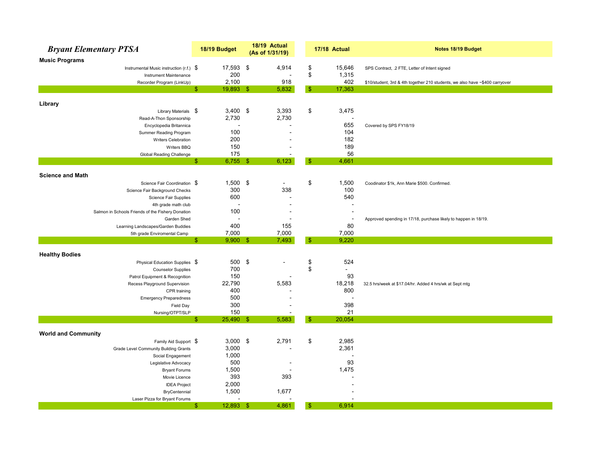| <b>Bryant Elementary PTSA</b>                                    | 18/19 Budget                       | 18/19 Actual<br>(As of 1/31/19) |                          | 17/18 Actual             | Notes 18/19 Budget                                                           |
|------------------------------------------------------------------|------------------------------------|---------------------------------|--------------------------|--------------------------|------------------------------------------------------------------------------|
| <b>Music Programs</b>                                            |                                    |                                 |                          |                          |                                                                              |
| Instrumental Music instruction (r.f.) $\$$                       | 17,593 \$                          |                                 | 4,914<br>\$              | 15,646                   | SPS Contract, .2 FTE, Letter of Intent signed                                |
| Instrument Maintenance                                           | 200                                |                                 | \$<br>$\blacksquare$     | 1,315                    |                                                                              |
| Recorder Program (LinkUp)                                        | 2,100                              |                                 | 918                      | 402                      | \$10/student, 3rd & 4th together 210 students, we also have ~\$400 carryover |
|                                                                  | $\mathbb{S}$<br>$19,893$ \$        |                                 | $\mathbf{\$}$<br>5,832   | 17,363                   |                                                                              |
| Library                                                          |                                    |                                 |                          |                          |                                                                              |
| Library Materials \$                                             | $3,400$ \$                         |                                 | 3,393<br>\$              | 3,475                    |                                                                              |
| Read-A-Thon Sponsorship                                          | 2,730                              |                                 | 2,730                    |                          |                                                                              |
| Encyclopedia Britannica                                          |                                    |                                 |                          | 655                      | Covered by SPS FY18/19                                                       |
| Summer Reading Program                                           | 100                                |                                 |                          | 104                      |                                                                              |
| Writers Celebration                                              | 200                                |                                 |                          | 182                      |                                                                              |
| Writers BBQ                                                      | 150                                |                                 |                          | 189                      |                                                                              |
| Global Reading Challenge                                         | 175                                |                                 | $\overline{\phantom{a}}$ | 56                       |                                                                              |
|                                                                  | $\mathbb{S}$<br>$6,755$ \$         |                                 | 6,123<br>-\$             | 4,661                    |                                                                              |
|                                                                  |                                    |                                 |                          |                          |                                                                              |
| <b>Science and Math</b>                                          |                                    |                                 |                          |                          |                                                                              |
| Science Fair Coordination \$                                     | $1,500$ \$                         |                                 | \$<br>$\sim$             | 1,500                    | Coodinator \$1k, Ann Marie \$500. Confirmed.                                 |
| Science Fair Background Checks                                   | 300                                |                                 | 338                      | 100<br>540               |                                                                              |
| Science Fair Supplies                                            | 600                                |                                 |                          |                          |                                                                              |
| 4th grade math club                                              | 100                                |                                 |                          |                          |                                                                              |
| Salmon in Schools Friends of the Fishery Donation<br>Garden Shed |                                    |                                 |                          | $\overline{\phantom{a}}$ |                                                                              |
| Learning Landscapes/Garden Buddies                               | 400                                |                                 | 155                      | 80                       | Approved spending in 17/18, purchase likely to happen in 18/19.              |
| 5th grade Enviromental Camp                                      | 7,000                              |                                 | 7,000                    | 7,000                    |                                                                              |
|                                                                  | $\mathbb{S}$<br>$9,900$ \$         |                                 | 7,493<br>-\$             | 9,220                    |                                                                              |
|                                                                  |                                    |                                 |                          |                          |                                                                              |
| <b>Healthy Bodies</b>                                            |                                    |                                 |                          |                          |                                                                              |
| Physical Education Supplies \$                                   | 500                                | \$                              | \$                       | 524                      |                                                                              |
| <b>Counselor Supplies</b>                                        | 700                                |                                 | \$                       | $\blacksquare$           |                                                                              |
| Patrol Equipment & Recognition                                   | 150                                |                                 |                          | 93                       |                                                                              |
| Recess Playground Supervision                                    | 22,790                             |                                 | 5,583                    | 18,218                   | 32.5 hrs/week at \$17.04/hr. Added 4 hrs/wk at Sept mtg                      |
| CPR training                                                     | 400                                |                                 |                          | 800                      |                                                                              |
| <b>Emergency Preparedness</b>                                    | 500                                |                                 |                          | $\overline{\phantom{a}}$ |                                                                              |
| Field Day                                                        | 300                                |                                 |                          | 398                      |                                                                              |
| Nursing/OTPT/SLP                                                 | 150<br>$\mathbb{S}$<br>$25,490$ \$ |                                 | 5,583<br>-\$             | 21<br>20,054             |                                                                              |
|                                                                  |                                    |                                 |                          |                          |                                                                              |
| <b>World and Community</b>                                       |                                    |                                 |                          |                          |                                                                              |
| Family Aid Support \$                                            | $3,000$ \$                         |                                 | \$<br>2,791              | 2,985                    |                                                                              |
| Grade Level Community Building Grants                            | 3,000                              |                                 |                          | 2,361                    |                                                                              |
| Social Engagement                                                | 1,000                              |                                 |                          |                          |                                                                              |
| Legislative Advocacy                                             | 500                                |                                 |                          | 93                       |                                                                              |
| <b>Bryant Forums</b>                                             | 1,500                              |                                 |                          | 1,475                    |                                                                              |
| Movie Licence                                                    | 393                                |                                 | 393                      |                          |                                                                              |
| <b>IDEA Project</b>                                              | 2,000                              |                                 |                          |                          |                                                                              |
| BryCentennial                                                    | 1,500                              |                                 | 1,677                    |                          |                                                                              |
| Laser Pizza for Bryant Forums                                    |                                    |                                 |                          |                          |                                                                              |
|                                                                  | 12,893<br>\$.                      | -\$                             | 4,861<br>-\$             | 6,914                    |                                                                              |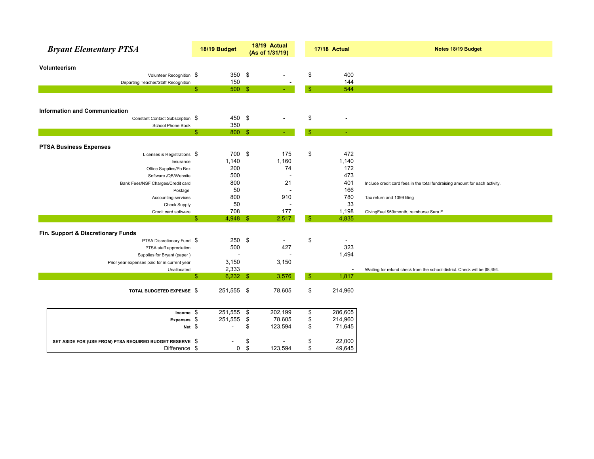| <b>Bryant Elementary PTSA</b>                                    | 18/19 Budget     | 18/19 Actual<br>(As of 1/31/19) |                |                | 17/18 Actual             | Notes 18/19 Budget                                                          |
|------------------------------------------------------------------|------------------|---------------------------------|----------------|----------------|--------------------------|-----------------------------------------------------------------------------|
| Volunteerism                                                     |                  |                                 |                |                |                          |                                                                             |
| Volunteer Recognition \$                                         | 350 $$$          |                                 |                | \$             | 400                      |                                                                             |
| Departing Teacher/Staff Recognition                              | 150              |                                 |                |                | 144                      |                                                                             |
|                                                                  | 500 \$<br>\$     |                                 |                | $\mathbf{\$}$  | 544                      |                                                                             |
|                                                                  |                  |                                 |                |                |                          |                                                                             |
| <b>Information and Communication</b>                             |                  |                                 |                |                |                          |                                                                             |
| Constant Contact Subscription \$                                 | 450 \$           |                                 |                | \$             |                          |                                                                             |
| School Phone Book                                                | 350              |                                 |                |                |                          |                                                                             |
|                                                                  | \$<br>800 \$     |                                 |                | $\mathbf{\$}$  |                          |                                                                             |
|                                                                  |                  |                                 |                |                |                          |                                                                             |
| <b>PTSA Business Expenses</b><br>Licenses & Registrations \$     | 700 \$           |                                 | 175            | \$             | 472                      |                                                                             |
| Insurance                                                        | 1,140            |                                 | 1,160          |                | 1,140                    |                                                                             |
| Office Supplies/Po Box                                           | 200              |                                 | 74             |                | 172                      |                                                                             |
| Software /QB/Website                                             | 500              |                                 |                |                | 473                      |                                                                             |
| Bank Fees/NSF Charges/Credit card                                | 800              |                                 | 21             |                | 401                      | Include credit card fees in the total fundraising amount for each activity. |
| Postage                                                          | 50               |                                 |                |                | 166                      |                                                                             |
| Accounting services                                              | 800              |                                 | 910            |                | 780                      | Tax return and 1099 filing                                                  |
| <b>Check Supply</b>                                              | 50               |                                 |                |                | 33                       |                                                                             |
| Credit card software                                             | 708              |                                 | 177            |                | 1,198                    | GivingFuel \$59/month, reimburse Sara F                                     |
|                                                                  | \$<br>$4,948$ \$ |                                 | 2,517          | $\sqrt{3}$     | 4,835                    |                                                                             |
|                                                                  |                  |                                 |                |                |                          |                                                                             |
| Fin. Support & Discretionary Funds<br>PTSA Discretionary Fund \$ | $250$ \$         |                                 | $\blacksquare$ | \$             |                          |                                                                             |
| PTSA staff appreciation                                          | 500              |                                 | 427            |                | 323                      |                                                                             |
| Supplies for Bryant (paper)                                      |                  |                                 |                |                | 1,494                    |                                                                             |
| Prior year expenses paid for in current year                     | 3,150            |                                 | 3,150          |                |                          |                                                                             |
| Unallocated                                                      | 2,333            |                                 |                |                | $\overline{\phantom{a}}$ | Waiting for refund check from the school district. Check will be \$8,494.   |
|                                                                  | \$<br>$6,232$ \$ |                                 | 3,576          | $\sqrt[6]{3}$  | 1,817                    |                                                                             |
|                                                                  |                  |                                 |                |                |                          |                                                                             |
| TOTAL BUDGETED EXPENSE \$                                        | 251,555 \$       |                                 | 78,605         | \$             | 214,960                  |                                                                             |
|                                                                  |                  |                                 |                |                |                          |                                                                             |
| Income \$                                                        | $251,555$ \$     |                                 | 202,199        | \$             | 286,605                  |                                                                             |
| Expenses \$                                                      | 251,555 \$       |                                 | 78,605         | \$             | 214,960                  |                                                                             |
| Net $$$                                                          |                  | \$                              | 123,594        | $\mathfrak{S}$ | 71,645                   |                                                                             |
| SET ASIDE FOR (USE FROM) PTSA REQUIRED BUDGET RESERVE \$         |                  | \$                              |                | \$             | 22,000                   |                                                                             |
| Difference \$                                                    | $\mathbf 0$      | \$                              | 123,594        | \$             | 49,645                   |                                                                             |
|                                                                  |                  |                                 |                |                |                          |                                                                             |